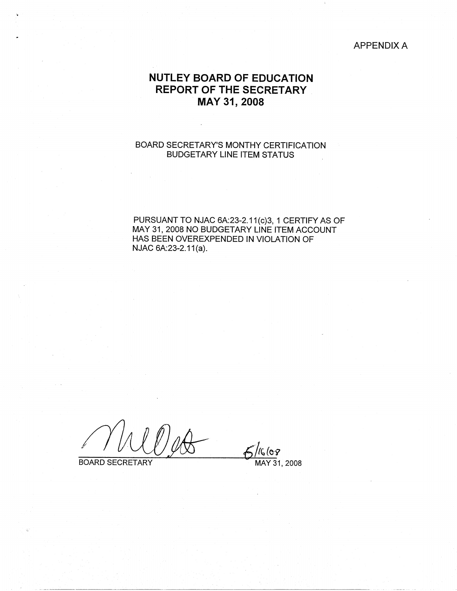APPENDIX A

# **NUTLEY BOARD OF EDUCATION REPORT OF THE SECRETARY MAY 31, 2008**

# BOARD SECRETARY'S MONTHY CERTIFICATION BUDGETARY LINE ITEM STATUS

PURSUANT TO NJAC 6A:23-2.11(c)3, 1 CERTIFY AS OF MAY 31, 2008 NO BUDGETARY LINE ITEM ACCOUNT HAS BEEN OVEREXPENDED IN VIOLATION OF NJAC 6A:23-2.11(a).

BOARD SECRETARY MAY 31, 2008

 $5/1668$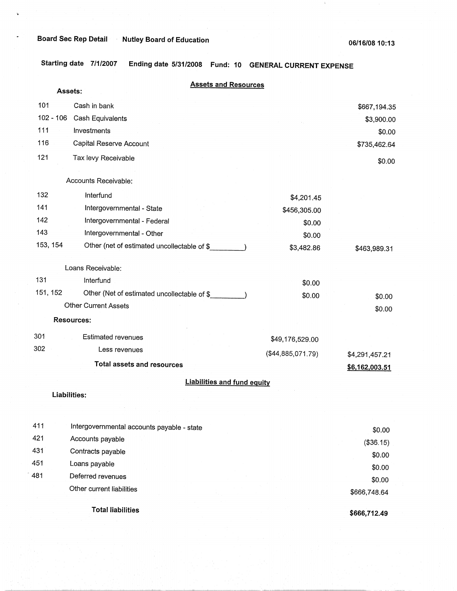$\bar{u}$ 

 $\mathbf{L}$ 

**Starting date 7/1/2007 Ending date 5/31/2008 Fund: 10 GENERAL CURRENT EXPENSE** 

|          | Assets:      | <b>Assets and Resources</b>                 |                   |                |
|----------|--------------|---------------------------------------------|-------------------|----------------|
| 101      |              | Cash in bank                                |                   | \$667,194.35   |
|          | $102 - 106$  | Cash Equivalents                            |                   | \$3,900.00     |
| 111      |              | Investments                                 |                   | \$0.00         |
| 116      |              | Capital Reserve Account                     |                   | \$735,462.64   |
| 121      |              | Tax levy Receivable                         |                   | \$0.00         |
|          |              | Accounts Receivable:                        |                   |                |
| 132      |              | Interfund                                   | \$4,201.45        |                |
| 141      |              | Intergovernmental - State                   | \$456,305.00      |                |
| 142      |              | Intergovernmental - Federal                 | \$0.00            |                |
| 143      |              | Intergovernmental - Other                   | \$0.00            |                |
| 153, 154 |              | Other (net of estimated uncollectable of \$ | \$3,482.86        | \$463,989.31   |
|          |              | Loans Receivable:                           |                   |                |
| 131      |              | Interfund                                   | \$0.00            |                |
| 151, 152 |              | Other (Net of estimated uncollectable of \$ | \$0.00            | \$0.00         |
|          |              | Other Current Assets                        |                   | \$0.00         |
|          |              | Resources:                                  |                   |                |
| 301      |              | <b>Estimated revenues</b>                   | \$49,176,529.00   |                |
| 302      |              | Less revenues                               | (\$44,885,071.79) | \$4,291,457.21 |
|          |              | <b>Total assets and resources</b>           |                   | \$6,162,003.51 |
|          |              | <b>Liabilities and fund equity</b>          |                   |                |
|          | Liabilities: |                                             |                   |                |
|          |              |                                             |                   |                |
| 411      |              | Intergovernmental accounts payable - state  |                   | \$0.00         |
| 421      |              | Accounts payable                            |                   | (\$36.15)      |
| 431      |              | Contracts payable                           |                   | \$0.00         |
| 451      |              | Loans payable                               |                   | \$0.00         |
| 481      |              | Deferred revenues                           |                   | \$0.00         |
|          |              | Other current liabilities                   |                   | \$666,748.64   |
|          |              | <b>Total liabilities</b>                    |                   | \$666,712.49   |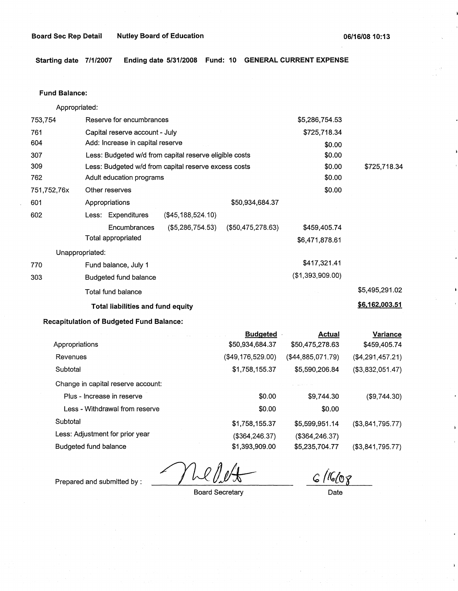**Starting date 7/1/2007 Ending date 5/31/2008 Fund: 10 GENERAL CURRENT EXPENSE** 

# **Fund Balance:**

Appropriated:

|                 | Total liabilities and fund equity                      |                      |                  | \$6,162,003.51 |
|-----------------|--------------------------------------------------------|----------------------|------------------|----------------|
|                 | Total fund balance                                     |                      |                  | \$5,495,291.02 |
| 303             | Budgeted fund balance                                  |                      | (\$1,393,909.00) |                |
| 770             | Fund balance, July 1                                   |                      | \$417,321.41     |                |
| Unappropriated: |                                                        |                      |                  |                |
|                 | Total appropriated                                     |                      | \$6,471,878.61   |                |
|                 | $($ \$5,286,754.53)<br>Encumbrances                    | $($ \$50,475,278.63) | \$459,405.74     |                |
| 602             | Less: Expenditures<br>(\$45,188,524.10)                |                      |                  |                |
| 601             | Appropriations                                         | \$50,934,684.37      |                  |                |
| 751,752,76x     | Other reserves                                         |                      | \$0.00           |                |
| 762             | Adult education programs                               |                      | \$0.00           |                |
| 309             | Less: Budgeted w/d from capital reserve excess costs   |                      | \$0.00           | \$725,718.34   |
| 307             | Less: Budgeted w/d from capital reserve eligible costs |                      | \$0.00           |                |
| 604             | Add: Increase in capital reserve                       |                      | \$0.00           |                |
| 761             | Capital reserve account - July                         |                      | \$725,718.34     |                |
| 753,754         | Reserve for encumbrances                               |                      | \$5,286,754.53   |                |

# **Recapitulation of Budgeted Fund Balance:**

|                                    | <b>Budgeted</b>   | <b>Actual</b>     | <b>Variance</b>     |
|------------------------------------|-------------------|-------------------|---------------------|
| Appropriations                     | \$50,934,684.37   | \$50,475,278.63   | \$459,405.74        |
| Revenues                           | (\$49,176,529.00) | (\$44,885,071.79) | (\$4,291,457.21)    |
| Subtotal                           | \$1,758,155.37    | \$5,590,206.84    | (\$3,832,051.47)    |
| Change in capital reserve account: |                   |                   |                     |
| Plus - Increase in reserve         | \$0.00            | \$9,744.30        | (\$9,744.30)        |
| Less - Withdrawal from reserve     | \$0.00            | \$0.00            |                     |
| Subtotal                           | \$1,758,155.37    | \$5,599,951.14    | $($ \$3,841,795.77) |
| Less: Adjustment for prior year    | (\$364, 246.37)   | (\$364, 246.37)   |                     |
| Budgeted fund balance              | \$1,393,909.00    | \$5,235,704.77    | (\$3,841,795.77)    |

Prepared and submitted by :

Board Secretary

 $G/(1608)$ 

Date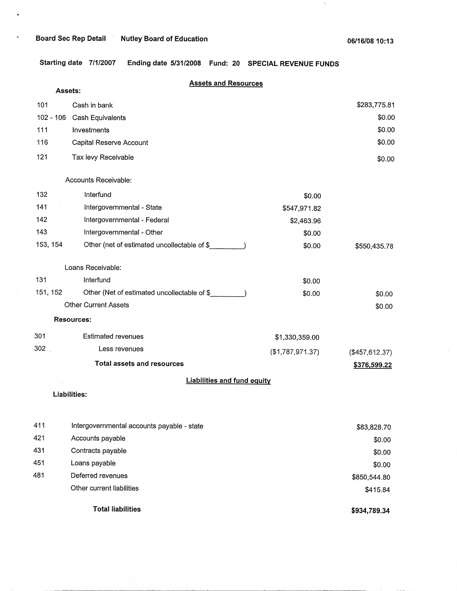·,·

**Starting date 7/1/2007 Ending date 5/31/2008 Fund: 20 SPECIAL REVENUE FUNDS** 

|             | <b>Assets and Resources</b>                 |                  |                |
|-------------|---------------------------------------------|------------------|----------------|
|             | Assets:                                     |                  |                |
| 101         | Cash in bank                                |                  | \$283,775.81   |
| $102 - 106$ | Cash Equivalents                            |                  | \$0.00         |
| 111         | Investments                                 |                  | \$0.00         |
| 116         | Capital Reserve Account                     |                  | \$0.00         |
| 121         | Tax levy Receivable                         |                  | \$0.00         |
|             | Accounts Receivable:                        |                  |                |
|             |                                             |                  |                |
| 132         | Interfund                                   | \$0.00           |                |
| 141         | Intergovernmental - State                   | \$547,971.82     |                |
| 142         | Intergovernmental - Federal                 | \$2,463.96       |                |
| 143         | Intergovernmental - Other                   | \$0.00           |                |
| 153, 154    | Other (net of estimated uncollectable of \$ | \$0.00           | \$550,435.78   |
|             | Loans Receivable:                           |                  |                |
| 131         | Interfund                                   | \$0.00           |                |
| 151, 152    | Other (Net of estimated uncollectable of \$ | \$0.00           | \$0.00         |
|             | <b>Other Current Assets</b>                 |                  | \$0.00         |
|             | <b>Resources:</b>                           |                  |                |
| 301         | <b>Estimated revenues</b>                   | \$1,330,359.00   |                |
| 302         | Less revenues                               | (\$1,787,971.37) | (\$457,612.37) |
|             | <b>Total assets and resources</b>           |                  | \$376,599.22   |
|             | <b>Liabilities and fund equity</b>          |                  |                |
|             | Liabilities:                                |                  |                |
|             |                                             |                  |                |
|             |                                             |                  |                |
| 411         | Intergovernmental accounts payable - state  |                  | \$83,828.70    |
| 421         | Accounts payable                            |                  | \$0.00         |
| 431         | Contracts payable                           |                  | \$0.00         |
| 451         | Loans payable                               |                  | \$0.00         |
| 481         | Deferred revenues                           |                  | \$850,544.80   |
|             | Other current liabilities                   |                  | \$415.84       |

**Total liabilities** 

**\$934,789.34**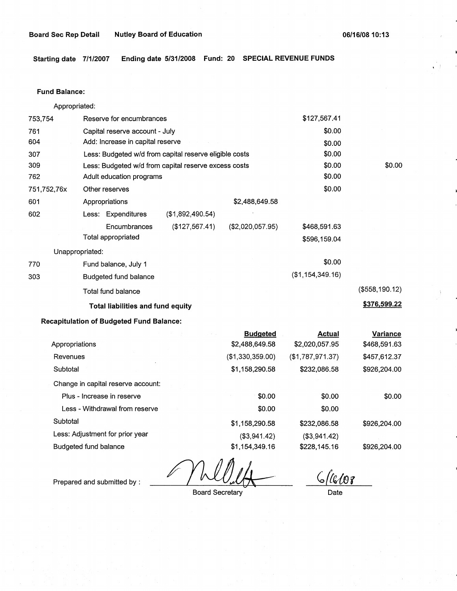### Board Sec Rep Detail Mutley Board of Education **06/16/08 10:13 06/16/08 10:13**

**Starting date 7/1/2007 Ending date 5/31/2008 Fund: 20 SPECIAL REVENUE FUNDS** 

## Fund **Balance:**

753,754 761 604 Appropriated: Reserve for encumbrances Capital reserve account - July Add: Increase in capital reserve 307 309 762 751,752,76x 601 Less: Budgeted w/d from capital reserve eligible costs Less: Budgeted w/d from capital reserve excess costs Adult education programs 602 770 303 Other reserves Appropriations Less: Expenditures **Encumbrances** Total appropriated Unappropriated: Fund balance, July 1 Budgeted fund balance Total fund balance (\$1,892,490.54) (\$127,567.41) \$2,488,649.58 (\$2,020,057.95) **Total liabilities and fund equity Recapitulation of Budgeted Fund Balance:**  \$127,567.41 \$0.00 \$0.00 \$0.00 \$0.00 \$0.00 \$0.00 \$468,591.63 \$596,159.04 \$0.00 (\$1,154,349.16) \$0.00 (\$558, 190.12) **\$376,599.22** 

|                                    | <b>Budgeted</b>  | <b>Actual</b>    | Variance     |
|------------------------------------|------------------|------------------|--------------|
| Appropriations                     | \$2,488,649.58   | \$2,020,057.95   | \$468,591.63 |
| Revenues                           | (\$1,330,359.00) | (\$1,787,971.37) | \$457,612.37 |
| Subtotal                           | \$1,158,290.58   | \$232,086.58     | \$926,204.00 |
| Change in capital reserve account: |                  |                  |              |
| Plus - Increase in reserve         | \$0.00           | \$0.00           | \$0.00       |
| Less - Withdrawal from reserve     | \$0.00           | \$0.00           |              |
| Subtotal                           | \$1,158,290.58   | \$232,086.58     | \$926,204.00 |
| Less: Adjustment for prior year    | (\$3,941.42)     | (\$3,941.42)     |              |
| Budgeted fund balance              | \$1,154,349.16   | \$228,145.16     | \$926,204.00 |

*/JbMJ/Jc,* 

Prepared and submitted by :

Board Secretary

 $\zeta$ (lb107

Date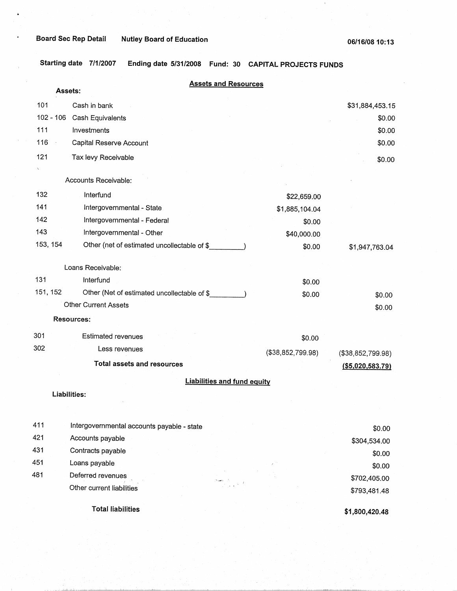ä.

**Starting date 7/1/2007 Ending date 5/31/2008 Fund: 30 CAPITAL PROJECTS FUNDS** 

|             | <b>Assets and Resources</b><br>Assets:      |                   |                     |
|-------------|---------------------------------------------|-------------------|---------------------|
| 101         | Cash in bank                                |                   | \$31,884,453.15     |
| $102 - 106$ | Cash Equivalents                            |                   | \$0.00              |
| 111         | Investments                                 |                   | \$0.00              |
| 116         | Capital Reserve Account                     |                   | \$0.00              |
| 121         | Tax levy Receivable                         |                   | \$0.00              |
|             | Accounts Receivable:                        |                   |                     |
| 132         | Interfund                                   | \$22,659.00       |                     |
| 141         | Intergovernmental - State                   | \$1,885,104.04    |                     |
| 142         | Intergovernmental - Federal                 | \$0.00            |                     |
| 143         | Intergovernmental - Other                   | \$40,000.00       |                     |
| 153, 154    | Other (net of estimated uncollectable of \$ | \$0.00            | \$1,947,763.04      |
|             | Loans Receivable:                           |                   |                     |
| 131         | Interfund                                   | \$0.00            |                     |
| 151, 152    | Other (Net of estimated uncollectable of \$ | \$0.00            | \$0.00              |
|             | <b>Other Current Assets</b>                 |                   | \$0.00              |
|             | Resources:                                  |                   |                     |
| 301         | <b>Estimated revenues</b>                   | \$0.00            |                     |
| 302         | Less revenues                               | (\$38,852,799.98) | (\$38,852,799.98)   |
|             | <b>Total assets and resources</b>           |                   | $($ \$5,020,583.79) |
|             | <b>Liabilities and fund equity</b>          |                   |                     |
|             | Liabilities:                                |                   |                     |
|             |                                             |                   |                     |
| 411         | Intergovernmental accounts payable - state  |                   | \$0.00              |
| 421         | Accounts payable                            |                   | \$304,534.00        |
| 431         | Contracts payable                           |                   | \$0.00              |
| 451         | Loans payable                               |                   | \$0.00              |
| 481         | Deferred revenues                           |                   | \$702,405.00        |
|             | Other current liabilities                   |                   | \$793,481.48        |
|             | <b>Total liabilities</b>                    |                   | \$1,800,420.48      |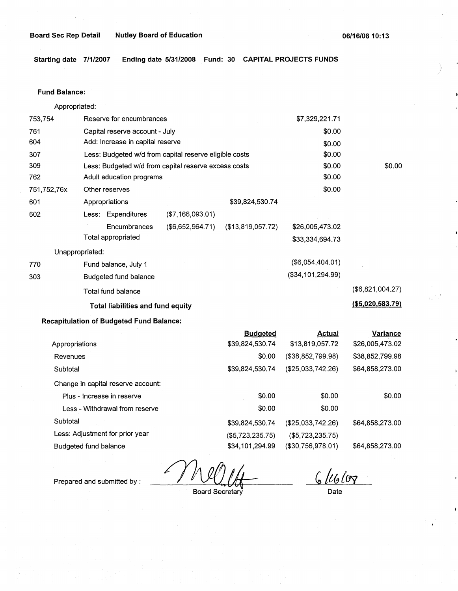# **Board Sec Rep Detail Nutley Board of Education**

**06/16/08 10:13** 

**Starting date 7/1/2007 Ending date 5/31/2008 Fund: 30 CAPITAL PROJECTS FUNDS** 

## **Fund Balance:**

Appropriated:

| 753,754         | Reserve for encumbrances                               |                  |                   | \$7,329,221.71      |                   |
|-----------------|--------------------------------------------------------|------------------|-------------------|---------------------|-------------------|
| 761             | Capital reserve account - July                         |                  |                   | \$0.00              |                   |
| 604             | Add: Increase in capital reserve                       |                  |                   | \$0.00              |                   |
| 307             | Less: Budgeted w/d from capital reserve eligible costs |                  |                   | \$0.00              |                   |
| 309             | Less: Budgeted w/d from capital reserve excess costs   |                  |                   | \$0.00              | \$0.00            |
| 762             | Adult education programs                               |                  |                   | \$0.00              |                   |
| 751,752,76x     | Other reserves                                         |                  |                   | \$0.00              |                   |
| 601             | Appropriations                                         |                  | \$39,824,530.74   |                     |                   |
| 602             | Less: Expenditures                                     | (\$7,166,093.01) |                   |                     |                   |
|                 | Encumbrances                                           | (\$6,652,964.71) | (\$13,819,057.72) | \$26,005,473.02     |                   |
|                 | Total appropriated                                     |                  |                   | \$33,334,694.73     |                   |
| Unappropriated: |                                                        |                  |                   |                     |                   |
| 770             | Fund balance, July 1                                   |                  |                   | $($ \$6,054,404.01) |                   |
| 303             | Budgeted fund balance                                  |                  |                   | (\$34,101,294.99)   |                   |
|                 | Total fund balance                                     |                  |                   |                     | (\$6,821,004.27)  |
|                 | <b>Total liabilities and fund equity</b>               |                  |                   |                     | ( \$5,020,583.79) |

# **Recapitulation of Budgeted Fund Balance:**

|                                    | <b>Budgeted</b>  | Actual            | <b>Variance</b> |
|------------------------------------|------------------|-------------------|-----------------|
| Appropriations                     | \$39,824,530.74  | \$13,819,057.72   | \$26,005,473.02 |
| Revenues                           | \$0.00           | (\$38,852,799.98) | \$38,852,799.98 |
| Subtotal                           | \$39,824,530.74  | (\$25,033,742.26) | \$64,858,273.00 |
| Change in capital reserve account: |                  |                   |                 |
| Plus - Increase in reserve         | \$0.00           | \$0.00            | \$0.00          |
| Less - Withdrawal from reserve     | \$0.00           | \$0.00            |                 |
| Subtotal                           | \$39,824,530.74  | (\$25,033,742.26) | \$64,858,273.00 |
| Less: Adjustment for prior year    | (\$5,723,235.75) | ( \$5,723,235.75) |                 |
| Budgeted fund balance              | \$34,101,294.99  | (\$30,756,978.01) | \$64,858,273.00 |
|                                    |                  |                   |                 |

Prepared and submitted by :  $\frac{1}{\sqrt{100}}$ 

Board Secretary Date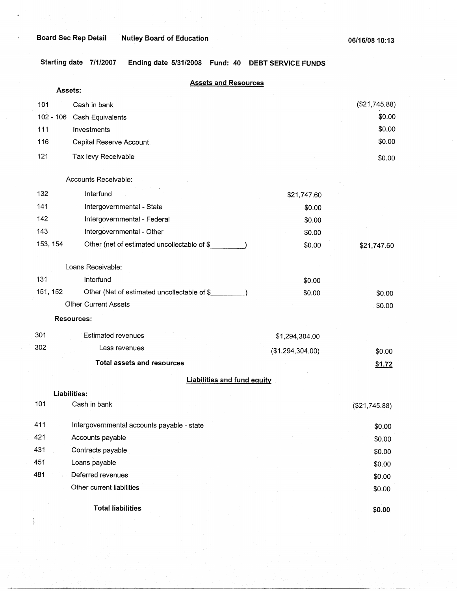$\frac{1}{2}$ 

 $\bar{\Gamma}$ 

**Starting date 7/1/2007 Ending date 5/31/2008 Fund: 40 DEBT SERVICE FUNDS** 

|     | Assets:     | <b>Assets and Resources</b>                 |                  |               |
|-----|-------------|---------------------------------------------|------------------|---------------|
| 101 |             | Cash in bank                                |                  | (\$21,745.88) |
|     | $102 - 106$ | Cash Equivalents                            |                  | \$0.00        |
| 111 |             | Investments                                 |                  | \$0.00        |
| 116 |             | Capital Reserve Account                     |                  | \$0.00        |
| 121 |             | Tax levy Receivable                         |                  | \$0.00        |
|     |             | Accounts Receivable:                        |                  |               |
| 132 |             | Interfund                                   | \$21,747.60      |               |
| 141 |             | Intergovernmental - State                   | \$0.00           |               |
| 142 |             | Intergovernmental - Federal                 | \$0.00           |               |
| 143 |             | Intergovernmental - Other                   | \$0.00           |               |
|     | 153, 154    | Other (net of estimated uncollectable of \$ | \$0.00           | \$21,747.60   |
|     |             | Loans Receivable:                           |                  |               |
| 131 |             | Interfund                                   | \$0.00           |               |
|     | 151, 152    | Other (Net of estimated uncollectable of \$ | \$0.00           | \$0.00        |
|     |             | <b>Other Current Assets</b>                 |                  | \$0.00        |
|     |             | <b>Resources:</b>                           |                  |               |
| 301 |             | <b>Estimated revenues</b>                   | \$1,294,304.00   |               |
| 302 |             | Less revenues                               | (\$1,294,304.00) | \$0.00        |
|     |             | <b>Total assets and resources</b>           |                  | \$1.72        |
|     |             | <b>Liabilities and fund equity</b>          |                  |               |
|     |             | Liabilities:                                |                  |               |
| 101 |             | Cash in bank                                |                  | (\$21,745.88) |
| 411 |             | Intergovernmental accounts payable - state  |                  | \$0.00        |
| 421 |             | Accounts payable                            |                  | \$0.00        |
| 431 |             | Contracts payable                           |                  | \$0.00        |
| 451 |             | Loans payable                               |                  | \$0.00        |
| 481 |             | Deferred revenues                           |                  | \$0.00        |
|     |             | Other current liabilities                   |                  | \$0.00        |
|     |             | <b>Total liabilities</b>                    |                  | \$0.00        |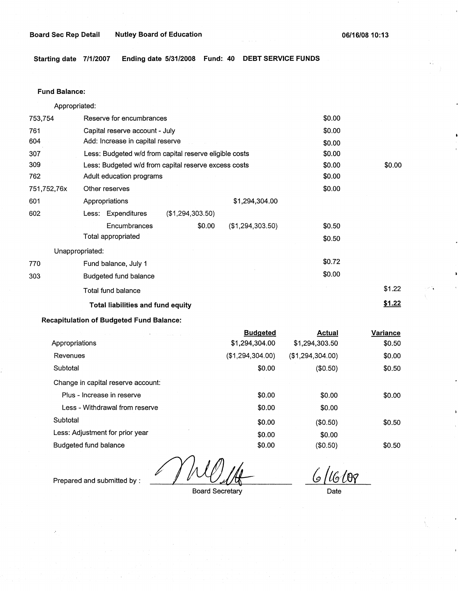**Starting date 7/1/2007 Ending date 5/31/2008 Fund:. 40 DEBT SERVICE FUNDS** 

# **Fund Balance:**

Appropriated:

| 753,754         | Reserve for encumbrances                               |                  |                  | \$0.00 |               |
|-----------------|--------------------------------------------------------|------------------|------------------|--------|---------------|
| 761             | Capital reserve account - July                         |                  |                  | \$0.00 |               |
| 604             | Add: Increase in capital reserve                       |                  |                  | \$0.00 |               |
| 307             | Less: Budgeted w/d from capital reserve eligible costs |                  |                  | \$0.00 |               |
| 309             | Less: Budgeted w/d from capital reserve excess costs   |                  |                  | \$0.00 | \$0.00        |
| 762             | Adult education programs                               |                  |                  | \$0.00 |               |
| 751,752,76x     | Other reserves                                         |                  |                  | \$0.00 |               |
| 601             | Appropriations                                         |                  | \$1,294,304.00   |        |               |
| 602             | Less: Expenditures                                     | (\$1,294,303.50) |                  |        |               |
|                 | Encumbrances                                           | \$0.00           | (\$1,294,303.50) | \$0.50 |               |
|                 | Total appropriated                                     |                  |                  | \$0.50 |               |
| Unappropriated: |                                                        |                  |                  |        |               |
| 770             | Fund balance, July 1                                   |                  |                  | \$0.72 |               |
| 303             | Budgeted fund balance                                  |                  |                  | \$0.00 |               |
|                 | Total fund balance                                     |                  |                  |        | \$1.22        |
|                 | <b>Total liabilities and fund equity</b>               |                  |                  |        | <u>\$1.22</u> |

# **Recapitulation of Budgeted Fund Balance:**

| the control of the company of the  | <b>Budgeted</b>  | <b>Actual</b>    | Variance |
|------------------------------------|------------------|------------------|----------|
| Appropriations                     | \$1,294,304.00   | \$1,294,303.50   | \$0.50   |
| Revenues                           | (\$1,294,304.00) | (\$1,294,304.00) | \$0.00   |
| Subtotal                           | \$0.00           | (\$0.50)         | \$0.50   |
| Change in capital reserve account: |                  |                  |          |
| Plus - Increase in reserve         | \$0.00           | \$0.00           | \$0.00   |
| Less - Withdrawal from reserve     | \$0.00           | \$0.00           |          |
| Subtotal                           | \$0.00           | (\$0.50)         | \$0.50   |
| Less: Adjustment for prior year    | \$0.00           | \$0.00           |          |
| Budgeted fund balance              | \$0.00           | (\$0.50)         | \$0.50   |

Prepared and submitted by :

Board Secretary

*{g /tGtW* 

Date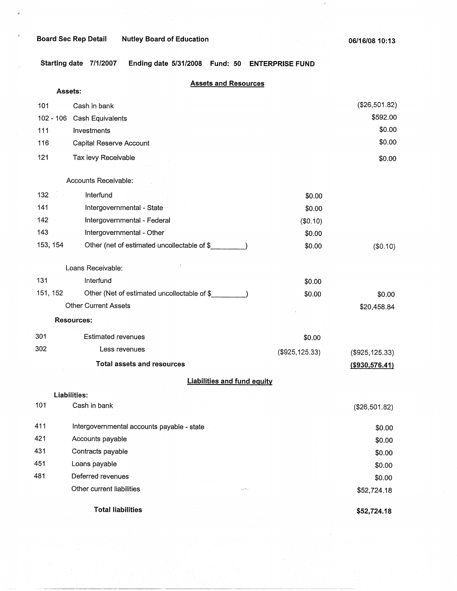$\tilde{a}$ 

**Starting date 7/1/2007 Ending date 5/31/2008 Fund: 50 ENTERPRISE FUND** 

|          | Assets:                                      | <b>Assets and Resources</b>              |                 |                  |
|----------|----------------------------------------------|------------------------------------------|-----------------|------------------|
| 101      | Cash in bank                                 |                                          |                 | (\$26,501.82)    |
|          | $102 - 106$<br>Cash Equivalents              |                                          |                 | \$592.00         |
| 111      | Investments                                  |                                          |                 | \$0.00           |
| 116      | Capital Reserve Account                      |                                          |                 | \$0.00           |
| 121      | Tax levy Receivable                          |                                          |                 | \$0.00           |
|          | Accounts Receivable:                         |                                          |                 |                  |
| 132      | Interfund                                    |                                          | \$0.00          |                  |
| 141      | Intergovernmental - State                    |                                          | \$0.00          |                  |
| 142      | Intergovernmental - Federal                  |                                          | (\$0.10)        |                  |
| 143      | Intergovernmental - Other                    |                                          | \$0.00          |                  |
| 153, 154 | Other (net of estimated uncollectable of \$  |                                          | \$0.00          | (\$0.10)         |
|          | Loans Receivable:                            |                                          |                 |                  |
| 131      | Interfund                                    |                                          | \$0.00          |                  |
| 151, 152 | Other (Net of estimated uncollectable of \$_ |                                          | \$0.00          | \$0.00           |
|          | <b>Other Current Assets</b>                  |                                          |                 | \$20,458.84      |
|          | <b>Resources:</b>                            |                                          |                 |                  |
| 301      | <b>Estimated revenues</b>                    |                                          | \$0.00          |                  |
| 302      | Less revenues                                |                                          | (\$925, 125.33) | (\$925, 125.33)  |
|          | <b>Total assets and resources</b>            |                                          |                 | ( \$930, 576.41) |
|          |                                              | <b>Liabilities and fund equity</b>       |                 |                  |
|          | Liabilities:                                 |                                          |                 |                  |
| 101      | Cash in bank                                 |                                          |                 | (\$26,501.82)    |
| 411      | Intergovernmental accounts payable - state   |                                          |                 | \$0.00           |
| 421      | Accounts payable                             |                                          |                 | \$0.00           |
| 431      | Contracts payable                            |                                          |                 | \$0.00           |
| 451      | Loans payable                                |                                          |                 | \$0.00           |
| 481      | Deferred revenues                            |                                          |                 | \$0.00           |
|          | Other current liabilities                    | $\mathbf{L}_\mathbf{A}$ May $\mathbf{r}$ |                 | \$52,724.18      |
|          | <b>Total liabilities</b>                     |                                          |                 | \$52,724.18      |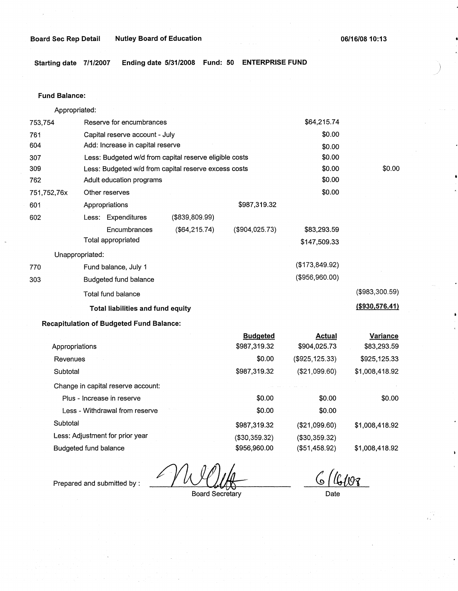**Board Sec Rep Detail Nutley Board of Education** 

**06/16/0810:13** 

*)* 

**Starting date 7/1/2007 Ending date 5/31/2008 Fund: 50 ENTERPRISE FUND** 

#### **Fund Balance:**

753,754 761 604 307 309 Appropriated: Reserve for encumbrances Capital reserve account - July Add: Increase in capital reserve Less: Budgeted w/d from capital reserve eligible costs Less: Budgeted w/d from capital reserve excess costs \$64,215.74 \$0.00 \$0.00 \$0.00 \$0.00 762 751,752,76x 601 Adult education programs  $$0.00$ Other reserves \$0.00 602 Appropriations Less: Expenditures (\$839,809.99) Encumbrances Total appropriated Unappropriated: (\$64,215.74) 770 Fund balance, July 1 303 Budgeted fund balance Total fund balance **Total liabilities and fund equity Recapitulation of Budgeted Fund Balance:**  Appropriations Revenues **Subtotal** Change in capital reserve account: Plus - Increase in reserve Less - Withdrawal from reserve \$987,319.32 (\$904,025.73) **Budgeted**  \$987,319.32 \$0.00 \$987,319.32 \$0.00 \$0.00 \$83,293.59 \$147,509.33 (\$173,849.92) (\$956,960.00) **Actual**  \$904,025.73 (\$925,125.33) (\$21,099.60) \$0.00 \$0.00 \$0.00 (\$983,300.59) **(\$930,576.41) Variance**  \$83,293.59 \$925,125.33 \$1,008,418.92 \$0.00

**Less:** Adjustment for prior year Budgeted fund balance

6/4/19

\$1,008,418.92

\$1,008,418.92

Prepared and submitted by :

Board Secretary

\$987,319.32 (\$30,359.32) \$956,960.00

Date

(\$21,099.60) (\$30,359.32) (\$51,458.92)

**Subtotal**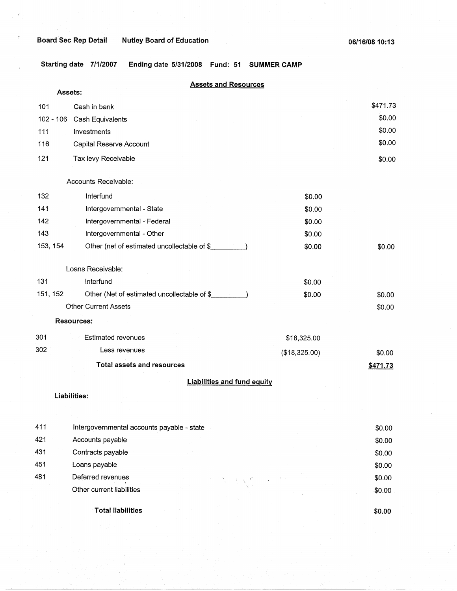$\hat{\mathbf{z}}_j^i$ 

 $\bar{3}$ 

**Starting date 7/1/2007 Ending date 5/31/2008 Fund: 51 SUMMER CAMP** 

|           | <b>Assets and Resources</b>                 |               |          |
|-----------|---------------------------------------------|---------------|----------|
|           | Assets:                                     |               | \$471.73 |
| 101       | Cash in bank                                |               | \$0.00   |
| 102 - 106 | Cash Equivalents                            |               |          |
| 111       | Investments                                 |               | \$0.00   |
| 116       | Capital Reserve Account                     |               | \$0.00   |
| 121       | Tax levy Receivable                         |               | \$0.00   |
|           | Accounts Receivable:                        |               |          |
| 132       | Interfund                                   | \$0.00        |          |
| 141       | Intergovernmental - State                   | \$0.00        |          |
| 142       | Intergovernmental - Federal                 | \$0.00        |          |
| 143       | Intergovernmental - Other                   | \$0.00        |          |
| 153, 154  | Other (net of estimated uncollectable of \$ | \$0.00        | \$0.00   |
|           | Loans Receivable:                           |               |          |
| 131       | Interfund                                   | \$0.00        |          |
| 151, 152  | Other (Net of estimated uncollectable of \$ | \$0.00        | \$0.00   |
|           | <b>Other Current Assets</b>                 |               | \$0.00   |
|           | <b>Resources:</b>                           |               |          |
| 301       | <b>Estimated revenues</b>                   | \$18,325.00   |          |
| 302       | Less revenues                               | (\$18,325.00) | \$0.00   |
|           | <b>Total assets and resources</b>           |               | \$471.73 |
|           | <b>Liabilities and fund equity</b>          |               |          |
|           | Liabilities:                                |               |          |
|           |                                             |               |          |
| 411       | Intergovernmental accounts payable - state  |               | \$0.00   |
| 421       | Accounts payable                            |               | \$0.00   |
| 431       | Contracts payable                           |               | \$0.00   |
| 451       | Loans payable                               |               | \$0.00   |
| 481       | Deferred revenues                           |               | \$0.00   |
|           | $\mathcal{E} \propto \mathcal{E}$           |               |          |

**Total liabilities** 

Other current liabilities

**\$0.00** 

\$0.00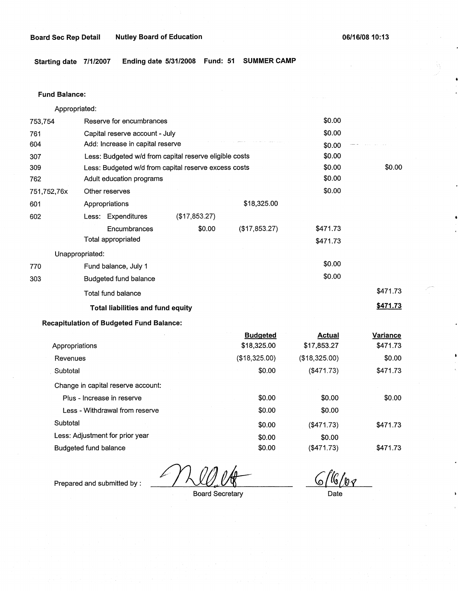#### **Board Sec Rep Detail Nutley Board of Education 06/16/08 10:13**

**Starting date 7/1/2007 Ending date 5/31/2008 Fund: 51 SUMMER CAMP** 

#### **Fund Balance:**

753,754 761 604 Appropriated: Reserve for encumbrances Capital reserve account - July Add: Increase in capital reserve 307 309 762 751,752,76x 601 Less: Budgeted w/d from capital reserve eligible costs Less: Budgeted w/d from capital reserve excess costs Adult education programs 602 770 303 Other reserves Appropriations Less: Expenditures **Encumbrances** Total appropriated Unappropriated: Fund balance, July 1 Budgeted fund balance Total fund balance (\$17,853.27) \$0.00 **Total liabilities and fund equity Recapitulation of Budgeted Fund Balance:**  \$18,325.00 (\$17,853.27) \$0.00 \$0.00 \$0.00 \$0.00 \$0.00 \$0.00 \$0.00 \$0.00 \$471.73 \$471.73 \$0.00 \$0.00 \$471.73 **\$471.73** 

|                                    | <b>Budgeted</b> | <b>Actual</b> | Variance |
|------------------------------------|-----------------|---------------|----------|
| Appropriations                     | \$18,325.00     | \$17,853.27   | \$471.73 |
| Revenues                           | (\$18,325.00)   | (\$18,325.00) | \$0.00   |
| Subtotal                           | \$0.00          | (\$471.73)    | \$471.73 |
| Change in capital reserve account: |                 |               |          |
| Plus - Increase in reserve         | \$0.00          | \$0.00        | \$0.00   |
| Less - Withdrawal from reserve     | \$0.00          | \$0.00        |          |
| Subtotal                           | \$0.00          | (\$471.73)    | \$471.73 |
| Less: Adjustment for prior year    | \$0.00          | \$0.00        |          |
| Budgeted fund balance              | \$0.00          | (\$471.73)    | \$471.73 |

Prepared and submitted by :

*,~t\_rc,i~~* 

Board Secretary

Date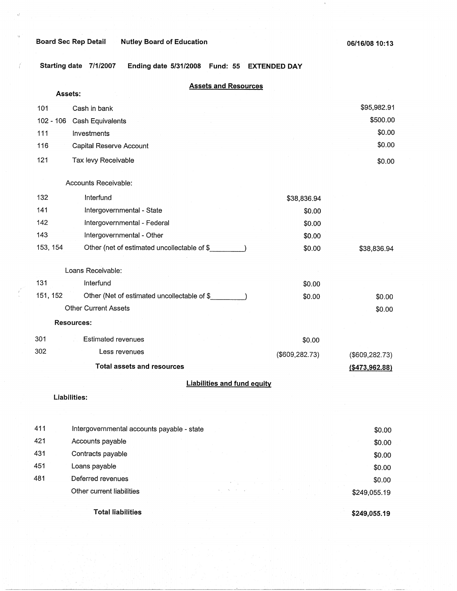$\zeta^{\prime}$ 

 $\acute{\ell}$ 

 $\bar{a}$ 

**Starting date 7/1/2007 Ending date 5/31/2008 Fund: 55 EXTENDED DAY** 

|             | <b>Assets and Resources</b>                 |                 |                  |  |  |  |
|-------------|---------------------------------------------|-----------------|------------------|--|--|--|
|             | Assets:                                     |                 |                  |  |  |  |
| 101         | Cash in bank                                |                 | \$95,982.91      |  |  |  |
| $102 - 106$ | Cash Equivalents                            |                 | \$500.00         |  |  |  |
| 111         | Investments                                 |                 | \$0.00           |  |  |  |
| 116         | Capital Reserve Account                     |                 | \$0.00           |  |  |  |
| 121         | Tax levy Receivable                         |                 | \$0.00           |  |  |  |
|             | Accounts Receivable:                        |                 |                  |  |  |  |
| 132         | Interfund                                   | \$38,836.94     |                  |  |  |  |
| 141         | Intergovernmental - State                   | \$0.00          |                  |  |  |  |
| 142         | Intergovernmental - Federal                 | \$0.00          |                  |  |  |  |
| 143         | Intergovernmental - Other                   | \$0.00          |                  |  |  |  |
| 153, 154    | Other (net of estimated uncollectable of \$ | \$0.00          | \$38,836.94      |  |  |  |
|             | Loans Receivable:                           |                 |                  |  |  |  |
| 131         | Interfund                                   | \$0.00          |                  |  |  |  |
| 151, 152    | Other (Net of estimated uncollectable of \$ | \$0.00          | \$0.00           |  |  |  |
|             | <b>Other Current Assets</b>                 |                 | \$0.00           |  |  |  |
|             | <b>Resources:</b>                           |                 |                  |  |  |  |
| 301         | <b>Estimated revenues</b>                   | \$0.00          |                  |  |  |  |
| 302         | Less revenues                               | (\$609, 282.73) | (\$609, 282.73)  |  |  |  |
|             | <b>Total assets and resources</b>           |                 | ( \$473, 962.88) |  |  |  |
|             | <b>Liabilities and fund equity</b>          |                 |                  |  |  |  |
|             | Liabilities:                                |                 |                  |  |  |  |
|             |                                             |                 |                  |  |  |  |
|             |                                             |                 |                  |  |  |  |
| 411         | Intergovernmental accounts payable - state  |                 | \$0.00           |  |  |  |

|     | <b>Total liabilities</b>  | \$249,055.19 |
|-----|---------------------------|--------------|
|     | Other current liabilities | \$249,055.19 |
| 481 | Deferred revenues         | \$0.00       |
| 451 | Loans payable             | \$0.00       |
| 431 | Contracts payable         | \$0.00       |
| 421 | Accounts payable          | \$0.00       |
|     |                           |              |